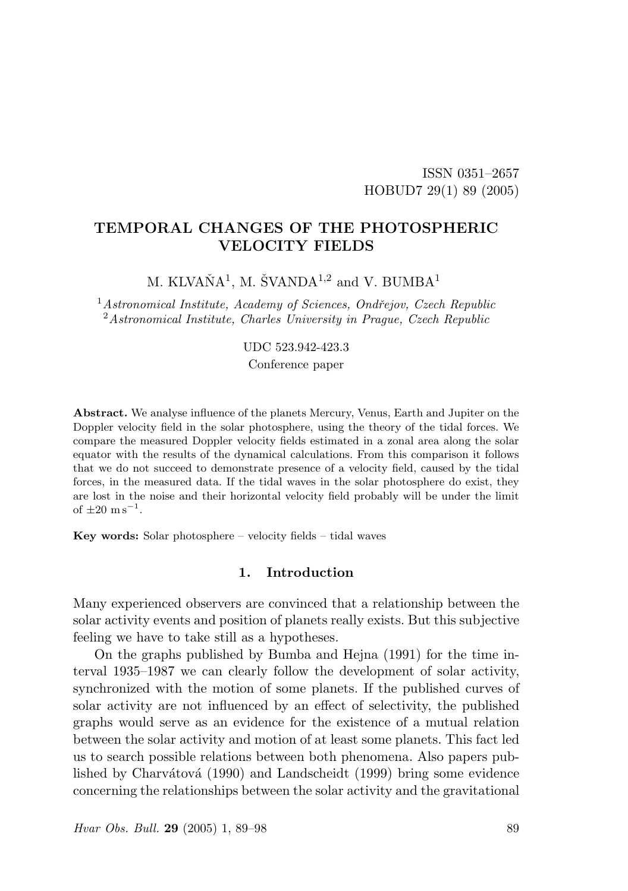### ISSN 0351–2657 HOBUD7 29(1) 89 (2005)

# TEMPORAL CHANGES OF THE PHOTOSPHERIC VELOCITY FIELDS

M. KLVAŇ $\mathbf{A}^1$ , M. ŠVAND $\mathbf{A}^{1,2}$  and V. BUMB $\mathbf{A}^1$ 

 $1$ Astronomical Institute, Academy of Sciences, Ondřejov, Czech Republic  $2$ Astronomical Institute, Charles University in Prague, Czech Republic

#### UDC 523.942-423.3

Conference paper

Abstract. We analyse influence of the planets Mercury, Venus, Earth and Jupiter on the Doppler velocity field in the solar photosphere, using the theory of the tidal forces. We compare the measured Doppler velocity fields estimated in a zonal area along the solar equator with the results of the dynamical calculations. From this comparison it follows that we do not succeed to demonstrate presence of a velocity field, caused by the tidal forces, in the measured data. If the tidal waves in the solar photosphere do exist, they are lost in the noise and their horizontal velocity field probably will be under the limit of  $\pm 20 \text{ m s}^{-1}$ .

Key words: Solar photosphere – velocity fields – tidal waves

### 1. Introduction

Many experienced observers are convinced that a relationship between the solar activity events and position of planets really exists. But this subjective feeling we have to take still as a hypotheses.

On the graphs published by Bumba and Hejna (1991) for the time interval 1935–1987 we can clearly follow the development of solar activity, synchronized with the motion of some planets. If the published curves of solar activity are not influenced by an effect of selectivity, the published graphs would serve as an evidence for the existence of a mutual relation between the solar activity and motion of at least some planets. This fact led us to search possible relations between both phenomena. Also papers published by Charvátová (1990) and Landscheidt (1999) bring some evidence concerning the relationships between the solar activity and the gravitational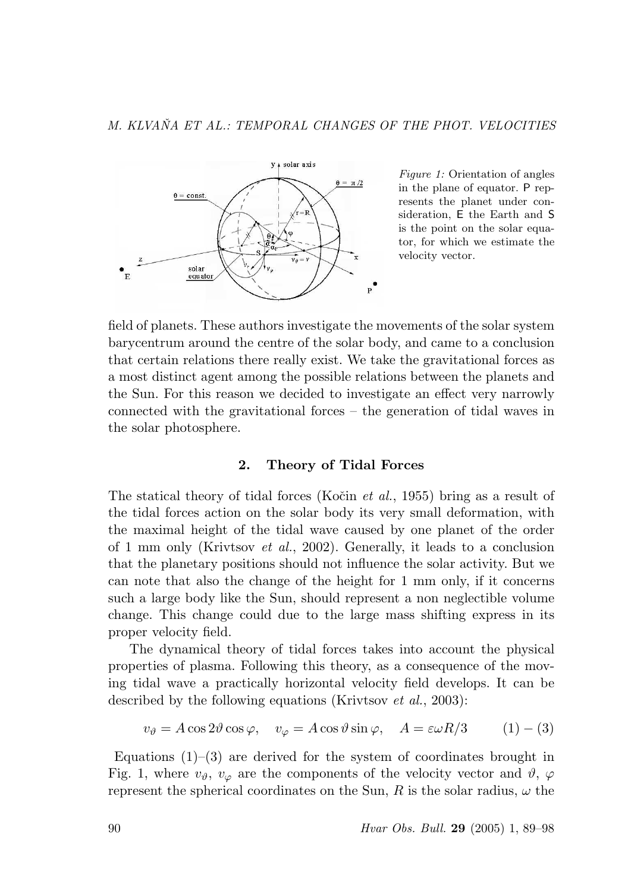

Figure 1: Orientation of angles in the plane of equator. P represents the planet under consideration, E the Earth and S is the point on the solar equator, for which we estimate the velocity vector.

field of planets. These authors investigate the movements of the solar system barycentrum around the centre of the solar body, and came to a conclusion that certain relations there really exist. We take the gravitational forces as a most distinct agent among the possible relations between the planets and the Sun. For this reason we decided to investigate an effect very narrowly connected with the gravitational forces – the generation of tidal waves in the solar photosphere.

#### 2. Theory of Tidal Forces

The statical theory of tidal forces (Kočin *et al.*, 1955) bring as a result of the tidal forces action on the solar body its very small deformation, with the maximal height of the tidal wave caused by one planet of the order of 1 mm only (Krivtsov et al., 2002). Generally, it leads to a conclusion that the planetary positions should not influence the solar activity. But we can note that also the change of the height for 1 mm only, if it concerns such a large body like the Sun, should represent a non neglectible volume change. This change could due to the large mass shifting express in its proper velocity field.

The dynamical theory of tidal forces takes into account the physical properties of plasma. Following this theory, as a consequence of the moving tidal wave a practically horizontal velocity field develops. It can be described by the following equations (Krivtsov *et al.*, 2003):

$$
v_{\theta} = A \cos 2\theta \cos \varphi, \quad v_{\varphi} = A \cos \theta \sin \varphi, \quad A = \varepsilon \omega R/3 \quad (1) - (3)
$$

Equations  $(1)$ – $(3)$  are derived for the system of coordinates brought in Fig. 1, where  $v_{\vartheta}$ ,  $v_{\varphi}$  are the components of the velocity vector and  $\vartheta$ ,  $\varphi$ represent the spherical coordinates on the Sun, R is the solar radius,  $\omega$  the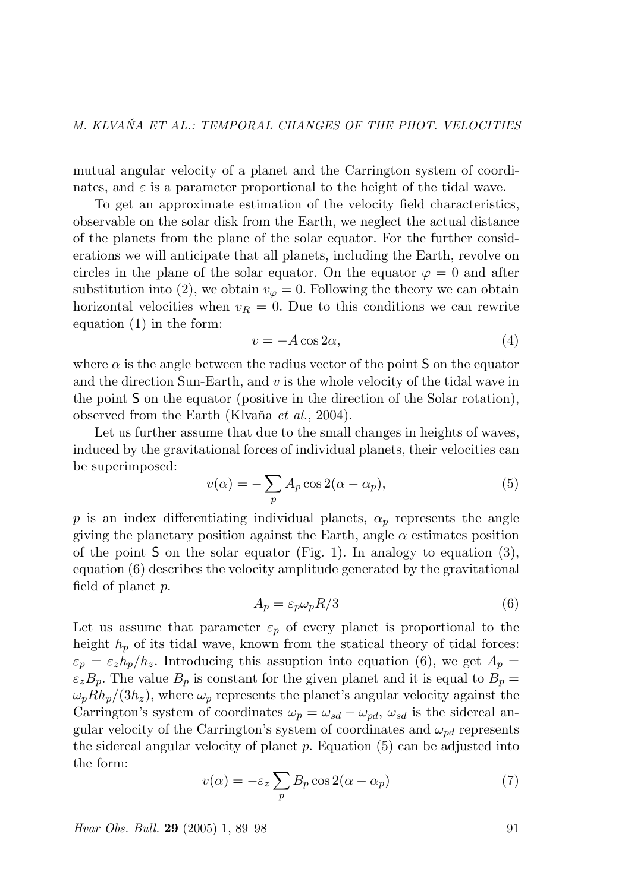mutual angular velocity of a planet and the Carrington system of coordinates, and  $\varepsilon$  is a parameter proportional to the height of the tidal wave.

To get an approximate estimation of the velocity field characteristics, observable on the solar disk from the Earth, we neglect the actual distance of the planets from the plane of the solar equator. For the further considerations we will anticipate that all planets, including the Earth, revolve on circles in the plane of the solar equator. On the equator  $\varphi = 0$  and after substitution into (2), we obtain  $v_{\varphi} = 0$ . Following the theory we can obtain horizontal velocities when  $v_R = 0$ . Due to this conditions we can rewrite equation (1) in the form:

$$
v = -A\cos 2\alpha,\tag{4}
$$

where  $\alpha$  is the angle between the radius vector of the point S on the equator and the direction Sun-Earth, and v is the whole velocity of the tidal wave in the point S on the equator (positive in the direction of the Solar rotation), observed from the Earth (Klvaňa et al., 2004).

Let us further assume that due to the small changes in heights of waves, induced by the gravitational forces of individual planets, their velocities can be superimposed:  $\overline{\phantom{a}}$ 

$$
v(\alpha) = -\sum_{p} A_p \cos 2(\alpha - \alpha_p), \tag{5}
$$

p is an index differentiating individual planets,  $\alpha_p$  represents the angle giving the planetary position against the Earth, angle  $\alpha$  estimates position of the point S on the solar equator (Fig. 1). In analogy to equation  $(3)$ , equation (6) describes the velocity amplitude generated by the gravitational field of planet p.

$$
A_p = \varepsilon_p \omega_p R/3 \tag{6}
$$

Let us assume that parameter  $\varepsilon_p$  of every planet is proportional to the height  $h_p$  of its tidal wave, known from the statical theory of tidal forces:  $\varepsilon_p = \varepsilon_z h_p/h_z$ . Introducing this assuption into equation (6), we get  $A_p = \varepsilon_p h_p/h_z$ .  $\varepsilon_z B_p$ . The value  $B_p$  is constant for the given planet and it is equal to  $B_p =$  $\omega_p R h_p/(3h_z)$ , where  $\omega_p$  represents the planet's angular velocity against the Carrington's system of coordinates  $\omega_p = \omega_{sd} - \omega_{pd}$ ,  $\omega_{sd}$  is the sidereal angular velocity of the Carrington's system of coordinates and  $\omega_{pd}$  represents the sidereal angular velocity of planet  $p$ . Equation (5) can be adjusted into the form:  $\overline{\phantom{a}}$ 

$$
v(\alpha) = -\varepsilon_z \sum_p B_p \cos 2(\alpha - \alpha_p)
$$
 (7)

Hvar Obs. Bull. **29** (2005) 1, 89–98 91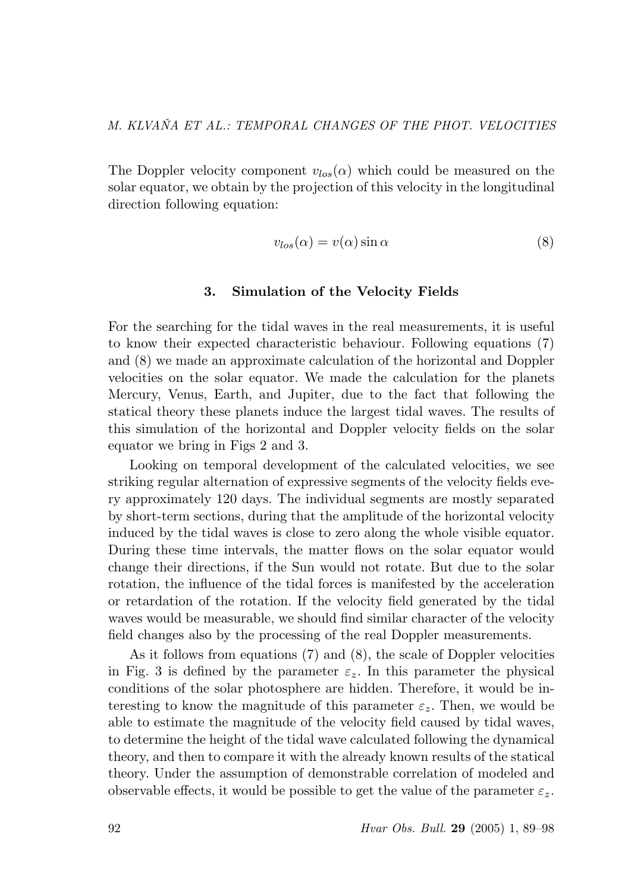The Doppler velocity component  $v_{los}(\alpha)$  which could be measured on the solar equator, we obtain by the projection of this velocity in the longitudinal direction following equation:

$$
v_{los}(\alpha) = v(\alpha)\sin\alpha\tag{8}
$$

#### 3. Simulation of the Velocity Fields

For the searching for the tidal waves in the real measurements, it is useful to know their expected characteristic behaviour. Following equations (7) and (8) we made an approximate calculation of the horizontal and Doppler velocities on the solar equator. We made the calculation for the planets Mercury, Venus, Earth, and Jupiter, due to the fact that following the statical theory these planets induce the largest tidal waves. The results of this simulation of the horizontal and Doppler velocity fields on the solar equator we bring in Figs 2 and 3.

Looking on temporal development of the calculated velocities, we see striking regular alternation of expressive segments of the velocity fields every approximately 120 days. The individual segments are mostly separated by short-term sections, during that the amplitude of the horizontal velocity induced by the tidal waves is close to zero along the whole visible equator. During these time intervals, the matter flows on the solar equator would change their directions, if the Sun would not rotate. But due to the solar rotation, the influence of the tidal forces is manifested by the acceleration or retardation of the rotation. If the velocity field generated by the tidal waves would be measurable, we should find similar character of the velocity field changes also by the processing of the real Doppler measurements.

As it follows from equations (7) and (8), the scale of Doppler velocities in Fig. 3 is defined by the parameter  $\varepsilon_z$ . In this parameter the physical conditions of the solar photosphere are hidden. Therefore, it would be interesting to know the magnitude of this parameter  $\varepsilon_z$ . Then, we would be able to estimate the magnitude of the velocity field caused by tidal waves, to determine the height of the tidal wave calculated following the dynamical theory, and then to compare it with the already known results of the statical theory. Under the assumption of demonstrable correlation of modeled and observable effects, it would be possible to get the value of the parameter  $\varepsilon_z$ .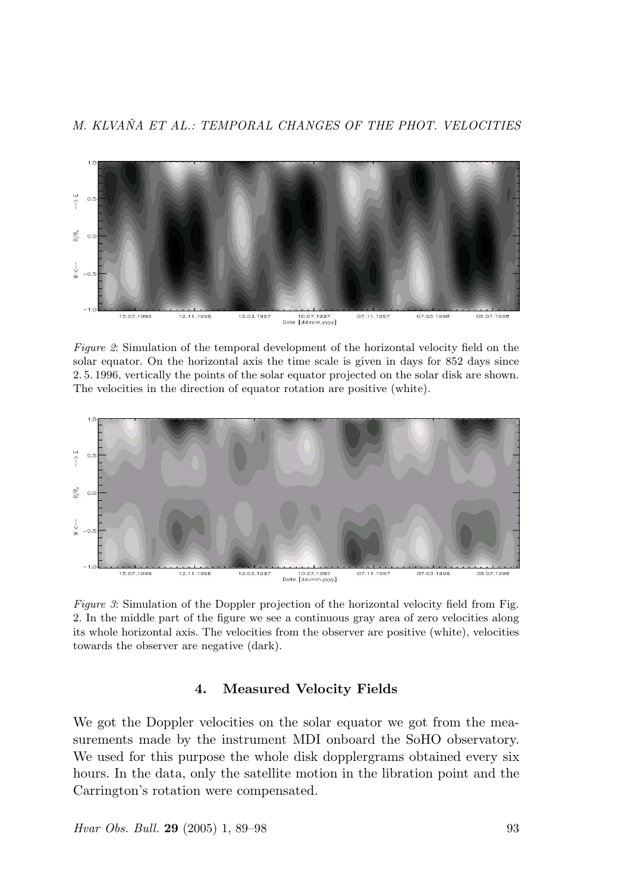M. KLVAŇA ET AL.: TEMPORAL CHANGES OF THE PHOT. VELOCITIES



Figure 2: Simulation of the temporal development of the horizontal velocity field on the solar equator. On the horizontal axis the time scale is given in days for 852 days since 2. 5. 1996, vertically the points of the solar equator projected on the solar disk are shown. The velocities in the direction of equator rotation are positive (white).



Figure 3: Simulation of the Doppler projection of the horizontal velocity field from Fig. 2. In the middle part of the figure we see a continuous gray area of zero velocities along its whole horizontal axis. The velocities from the observer are positive (white), velocities towards the observer are negative (dark).

#### 4. Measured Velocity Fields

We got the Doppler velocities on the solar equator we got from the measurements made by the instrument MDI onboard the SoHO observatory. We used for this purpose the whole disk dopplergrams obtained every six hours. In the data, only the satellite motion in the libration point and the Carrington's rotation were compensated.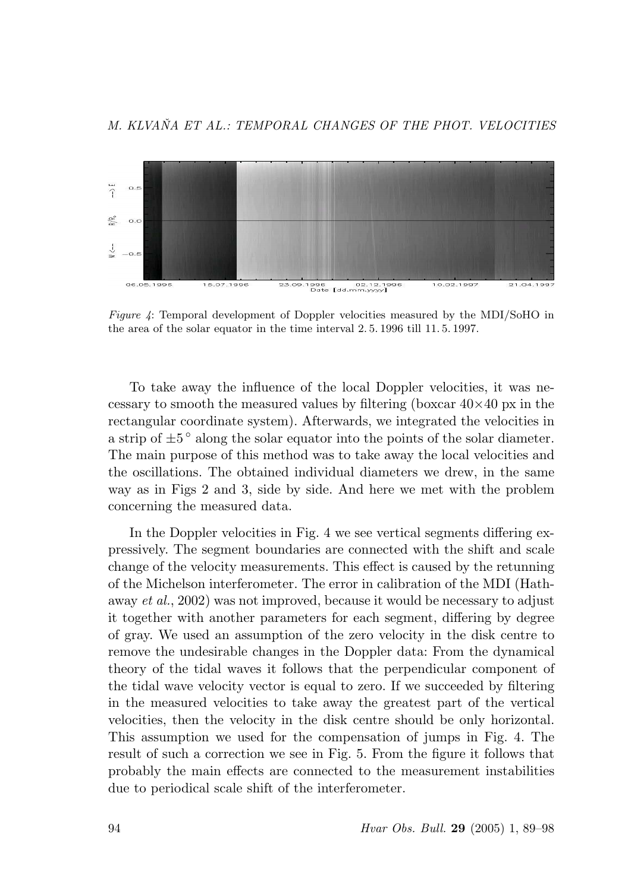

Figure 4: Temporal development of Doppler velocities measured by the MDI/SoHO in the area of the solar equator in the time interval 2. 5. 1996 till 11. 5. 1997.

To take away the influence of the local Doppler velocities, it was necessary to smooth the measured values by filtering (boxcar  $40\times40$  px in the rectangular coordinate system). Afterwards, we integrated the velocities in a strip of  $\pm 5^{\degree}$  along the solar equator into the points of the solar diameter. The main purpose of this method was to take away the local velocities and the oscillations. The obtained individual diameters we drew, in the same way as in Figs 2 and 3, side by side. And here we met with the problem concerning the measured data.

In the Doppler velocities in Fig. 4 we see vertical segments differing expressively. The segment boundaries are connected with the shift and scale change of the velocity measurements. This effect is caused by the retunning of the Michelson interferometer. The error in calibration of the MDI (Hathaway et al., 2002) was not improved, because it would be necessary to adjust it together with another parameters for each segment, differing by degree of gray. We used an assumption of the zero velocity in the disk centre to remove the undesirable changes in the Doppler data: From the dynamical theory of the tidal waves it follows that the perpendicular component of the tidal wave velocity vector is equal to zero. If we succeeded by filtering in the measured velocities to take away the greatest part of the vertical velocities, then the velocity in the disk centre should be only horizontal. This assumption we used for the compensation of jumps in Fig. 4. The result of such a correction we see in Fig. 5. From the figure it follows that probably the main effects are connected to the measurement instabilities due to periodical scale shift of the interferometer.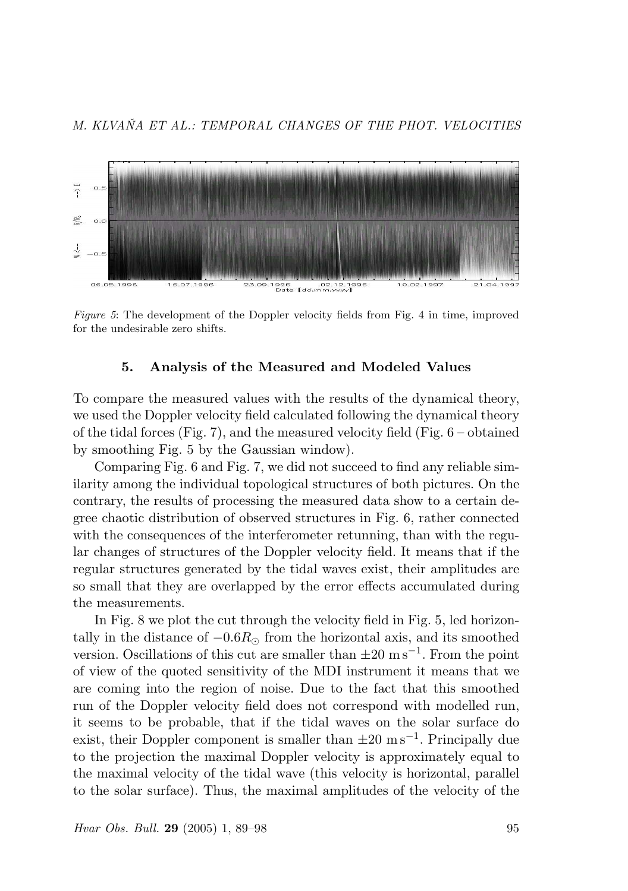

Figure 5: The development of the Doppler velocity fields from Fig. 4 in time, improved for the undesirable zero shifts.

### 5. Analysis of the Measured and Modeled Values

To compare the measured values with the results of the dynamical theory, we used the Doppler velocity field calculated following the dynamical theory of the tidal forces (Fig. 7), and the measured velocity field (Fig.  $6$  – obtained by smoothing Fig. 5 by the Gaussian window).

Comparing Fig. 6 and Fig. 7, we did not succeed to find any reliable similarity among the individual topological structures of both pictures. On the contrary, the results of processing the measured data show to a certain degree chaotic distribution of observed structures in Fig. 6, rather connected with the consequences of the interferometer retunning, than with the regular changes of structures of the Doppler velocity field. It means that if the regular structures generated by the tidal waves exist, their amplitudes are so small that they are overlapped by the error effects accumulated during the measurements.

In Fig. 8 we plot the cut through the velocity field in Fig. 5, led horizontally in the distance of  $-0.6R_{\odot}$  from the horizontal axis, and its smoothed version. Oscillations of this cut are smaller than  $\pm 20 \text{ m s}^{-1}$ . From the point of view of the quoted sensitivity of the MDI instrument it means that we are coming into the region of noise. Due to the fact that this smoothed run of the Doppler velocity field does not correspond with modelled run, it seems to be probable, that if the tidal waves on the solar surface do exist, their Doppler component is smaller than  $\pm 20 \text{ m s}^{-1}$ . Principally due to the projection the maximal Doppler velocity is approximately equal to the maximal velocity of the tidal wave (this velocity is horizontal, parallel to the solar surface). Thus, the maximal amplitudes of the velocity of the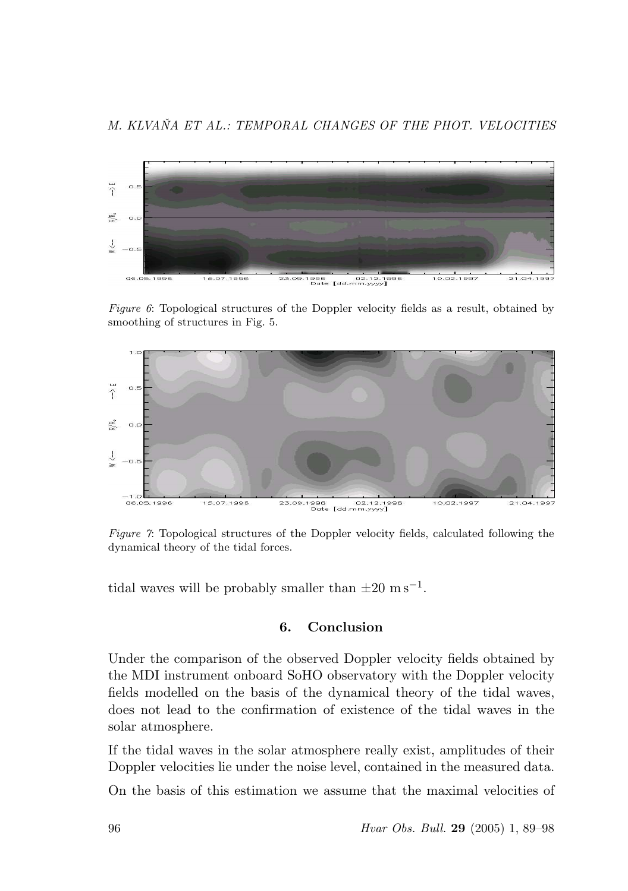

Figure 6: Topological structures of the Doppler velocity fields as a result, obtained by smoothing of structures in Fig. 5.



Figure 7: Topological structures of the Doppler velocity fields, calculated following the dynamical theory of the tidal forces.

tidal waves will be probably smaller than  $\pm 20 \text{ m s}^{-1}$ .

### 6. Conclusion

Under the comparison of the observed Doppler velocity fields obtained by the MDI instrument onboard SoHO observatory with the Doppler velocity fields modelled on the basis of the dynamical theory of the tidal waves, does not lead to the confirmation of existence of the tidal waves in the solar atmosphere.

If the tidal waves in the solar atmosphere really exist, amplitudes of their Doppler velocities lie under the noise level, contained in the measured data.

On the basis of this estimation we assume that the maximal velocities of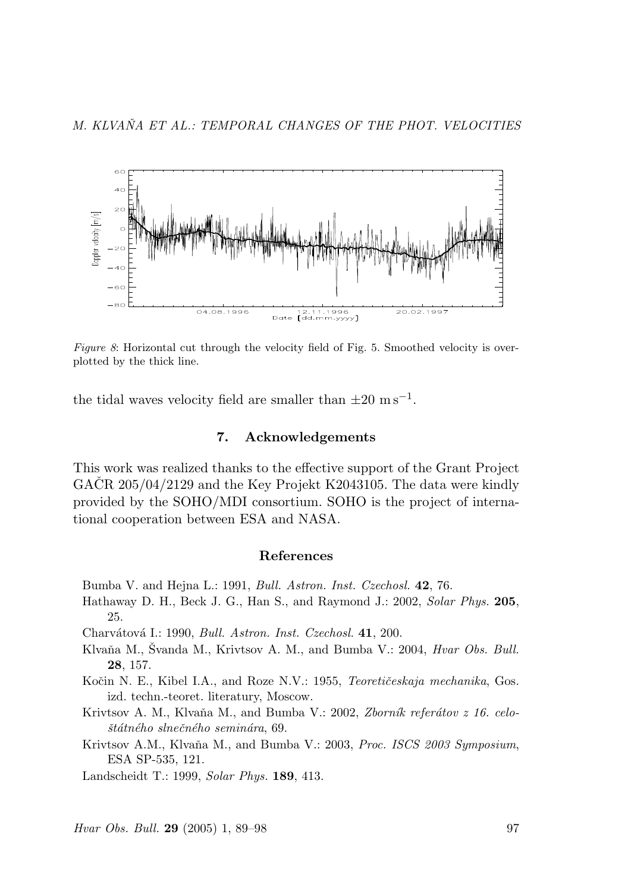

Figure 8: Horizontal cut through the velocity field of Fig. 5. Smoothed velocity is overplotted by the thick line.

the tidal waves velocity field are smaller than  $\pm 20 \text{ m s}^{-1}$ .

### 7. Acknowledgements

This work was realized thanks to the effective support of the Grant Project GACR  $205/04/2129$  and the Key Projekt K2043105. The data were kindly provided by the SOHO/MDI consortium. SOHO is the project of international cooperation between ESA and NASA.

#### References

Bumba V. and Hejna L.: 1991, Bull. Astron. Inst. Czechosl. 42, 76.

Hathaway D. H., Beck J. G., Han S., and Raymond J.: 2002, Solar Phys. 205, 25.

Charvátová I.: 1990, *Bull. Astron. Inst. Czechosl.* 41, 200.

Klvaňa M., Švanda M., Krivtsov A. M., and Bumba V.: 2004, *Hvar Obs. Bull.* 28, 157.

Kočin N. E., Kibel I.A., and Roze N.V.: 1955, Teoretičeskaja mechanika, Gos. izd. techn.-teoret. literatury, Moscow.

Krivtsov A. M., Klvaňa M., and Bumba V.: 2002, Zborník referátov z 16. celo- $\check$ státného slnečného seminára, 69.

Krivtsov A.M., Klvaňa M., and Bumba V.: 2003, Proc. ISCS 2003 Symposium, ESA SP-535, 121.

Landscheidt T.: 1999, Solar Phys. 189, 413.

Hvar Obs. Bull. **29** (2005) 1, 89–98 97